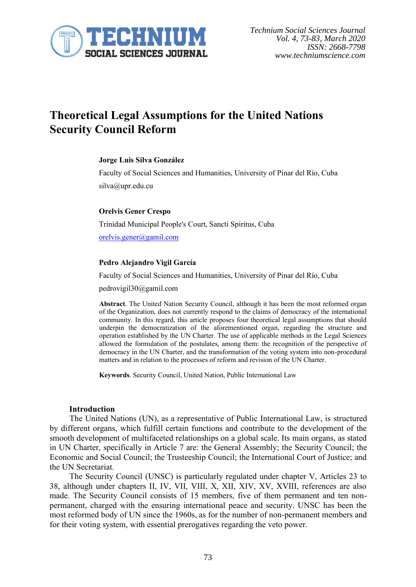

# **Theoretical Legal Assumptions for the United Nations Security Council Reform**

#### **Jorge Luis Silva González**

Faculty of Social Sciences and Humanities, University of Pinar del Río, Cuba silva@upr.edu.cu

#### **Orelvis Gener Crespo**

Trinidad Municipal People's Court, Sancti Spíritus, Cuba [orelvis.gener@gamil.com](mailto:orelvis.gener@gamil.com)

#### **Pedro Alejandro Vigil García**

Faculty of Social Sciences and Humanities, University of Pinar del Río, Cuba

pedrovigil30@gamil.com

**Abstract**. The United Nation Security Council, although it has been the most reformed organ of the Organization, does not currently respond to the claims of democracy of the international community. In this regard, this article proposes four theoretical legal assumptions that should underpin the democratization of the aforementioned organ, regarding the structure and operation established by the UN Charter. The use of applicable methods in the Legal Sciences allowed the formulation of the postulates, among them: the recognition of the perspective of democracy in the UN Charter, and the transformation of the voting system into non-procedural matters and in relation to the processes of reform and revision of the UN Charter.

**Keywords**. Security Council, United Nation, Public International Law

#### **Introduction**

The United Nations (UN), as a representative of Public International Law, is structured by different organs, which fulfill certain functions and contribute to the development of the smooth development of multifaceted relationships on a global scale. Its main organs, as stated in UN Charter, specifically in Article 7 are: the General Assembly; the Security Council; the Economic and Social Council; the Trusteeship Council; the International Court of Justice; and the UN Secretariat.

The Security Council (UNSC) is particularly regulated under chapter V, Articles 23 to 38, although under chapters II, IV, VII, VIII, X, XII, XIV, XV, XVIII, references are also made. The Security Council consists of 15 members, five of them permanent and ten nonpermanent, charged with the ensuring international peace and security. UNSC has been the most reformed body of UN since the 1960s, as for the number of non-permanent members and for their voting system, with essential prerogatives regarding the veto power.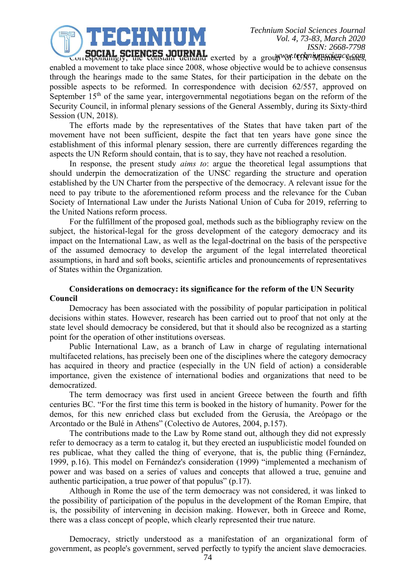ECHNIUM

**SUCIAL SCIENCES JOURNAL** exerted by a group was technique solet estates, enabled a movement to take place since 2008, whose objective would be to achieve consensus through the hearings made to the same States, for their participation in the debate on the possible aspects to be reformed. In correspondence with decision 62/557, approved on September  $15<sup>th</sup>$  of the same year, intergovernmental negotiations began on the reform of the Security Council, in informal plenary sessions of the General Assembly, during its Sixty-third Session (UN, 2018).

The efforts made by the representatives of the States that have taken part of the movement have not been sufficient, despite the fact that ten years have gone since the establishment of this informal plenary session, there are currently differences regarding the aspects the UN Reform should contain, that is to say, they have not reached a resolution.

In response, the present study *aims to*: argue the theoretical legal assumptions that should underpin the democratization of the UNSC regarding the structure and operation established by the UN Charter from the perspective of the democracy. A relevant issue for the need to pay tribute to the aforementioned reform process and the relevance for the Cuban Society of International Law under the Jurists National Union of Cuba for 2019, referring to the United Nations reform process.

For the fulfillment of the proposed goal, methods such as the bibliography review on the subject, the historical-legal for the gross development of the category democracy and its impact on the International Law, as well as the legal-doctrinal on the basis of the perspective of the assumed democracy to develop the argument of the legal interrelated theoretical assumptions, in hard and soft books, scientific articles and pronouncements of representatives of States within the Organization.

# **Considerations on democracy: its significance for the reform of the UN Security Council**

Democracy has been associated with the possibility of popular participation in political decisions within states. However, research has been carried out to proof that not only at the state level should democracy be considered, but that it should also be recognized as a starting point for the operation of other institutions overseas.

Public International Law, as a branch of Law in charge of regulating international multifaceted relations, has precisely been one of the disciplines where the category democracy has acquired in theory and practice (especially in the UN field of action) a considerable importance, given the existence of international bodies and organizations that need to be democratized.

The term democracy was first used in ancient Greece between the fourth and fifth centuries BC. "For the first time this term is booked in the history of humanity. Power for the demos, for this new enriched class but excluded from the Gerusía, the Areópago or the Arcontado or the Bulé in Athens" (Colectivo de Autores, 2004, p.157).

The contributions made to the Law by Rome stand out, although they did not expressly refer to democracy as a term to catalog it, but they erected an iuspublicistic model founded on res publicae, what they called the thing of everyone, that is, the public thing (Fernández, 1999, p.16). This model on Fernández's consideration (1999) "implemented a mechanism of power and was based on a series of values and concepts that allowed a true, genuine and authentic participation, a true power of that populus" (p.17).

Although in Rome the use of the term democracy was not considered, it was linked to the possibility of participation of the populus in the development of the Roman Empire, that is, the possibility of intervening in decision making. However, both in Greece and Rome, there was a class concept of people, which clearly represented their true nature.

Democracy, strictly understood as a manifestation of an organizational form of government, as people's government, served perfectly to typify the ancient slave democracies.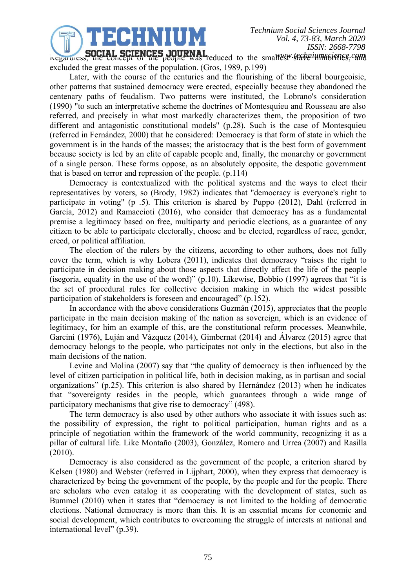

**Regardless, the concept of the people was reduced to the smallest slave imminormers, cand** excluded the great masses of the population. (Gros, 1989, p.199)

Later, with the course of the centuries and the flourishing of the liberal bourgeoisie, other patterns that sustained democracy were erected, especially because they abandoned the centenary paths of feudalism. Two patterns were instituted, the Lobrano's consideration (1990) "to such an interpretative scheme the doctrines of Montesquieu and Rousseau are also referred, and precisely in what most markedly characterizes them, the proposition of two different and antagonistic constitutional models" (p.28). Such is the case of Montesquieu (referred in Fernández, 2000) that he considered: Democracy is that form of state in which the government is in the hands of the masses; the aristocracy that is the best form of government because society is led by an elite of capable people and, finally, the monarchy or government of a single person. These forms oppose, as an absolutely opposite, the despotic government that is based on terror and repression of the people. (p.114)

Democracy is contextualized with the political systems and the ways to elect their representatives by voters, so (Brody, 1982) indicates that "democracy is everyone's right to participate in voting" (p .5). This criterion is shared by Puppo (2012), Dahl (referred in García, 2012) and Ramaccioti (2016), who consider that democracy has as a fundamental premise a legitimacy based on free, multiparty and periodic elections, as a guarantee of any citizen to be able to participate electorally, choose and be elected, regardless of race, gender, creed, or political affiliation.

The election of the rulers by the citizens, according to other authors, does not fully cover the term, which is why Lobera (2011), indicates that democracy "raises the right to participate in decision making about those aspects that directly affect the life of the people (isegoria, equality in the use of the word)" (p.10). Likewise, Bobbio (1997) agrees that "it is the set of procedural rules for collective decision making in which the widest possible participation of stakeholders is foreseen and encouraged" (p.152).

In accordance with the above considerations Guzmán (2015), appreciates that the people participate in the main decision making of the nation as sovereign, which is an evidence of legitimacy, for him an example of this, are the constitutional reform processes. Meanwhile, Garcini (1976), Luján and Vázquez (2014), Gimbernat (2014) and Álvarez (2015) agree that democracy belongs to the people, who participates not only in the elections, but also in the main decisions of the nation.

Levine and Molina (2007) say that "the quality of democracy is then influenced by the level of citizen participation in political life, both in decision making, as in partisan and social organizations" (p.25). This criterion is also shared by Hernández (2013) when he indicates that "sovereignty resides in the people, which guarantees through a wide range of participatory mechanisms that give rise to democracy" (498).

The term democracy is also used by other authors who associate it with issues such as: the possibility of expression, the right to political participation, human rights and as a principle of negotiation within the framework of the world community, recognizing it as a pillar of cultural life. Like Montaño (2003), González, Romero and Urrea (2007) and Rasilla (2010).

Democracy is also considered as the government of the people, a criterion shared by Kelsen (1980) and Webster (referred in Lijphart, 2000), when they express that democracy is characterized by being the government of the people, by the people and for the people. There are scholars who even catalog it as cooperating with the development of states, such as Bummel (2010) when it states that "democracy is not limited to the holding of democratic elections. National democracy is more than this. It is an essential means for economic and social development, which contributes to overcoming the struggle of interests at national and international level" (p.39).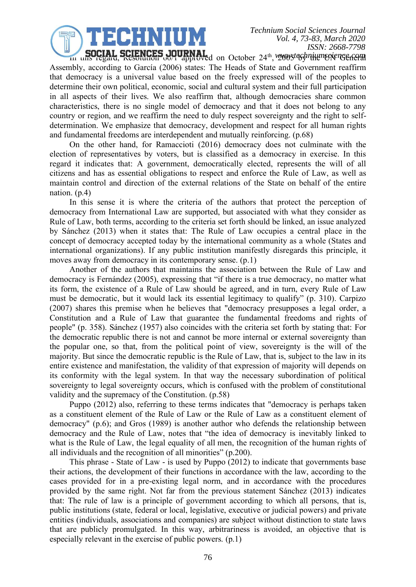

**SUCIAL SCIENCES JOURNAL**<br>in this regard, Resolution 60/1 approved on October 24<sup>th</sup>, 2005 by the UN General Assembly, according to García (2006) states: The Heads of State and Government reaffirm that democracy is a universal value based on the freely expressed will of the peoples to determine their own political, economic, social and cultural system and their full participation in all aspects of their lives. We also reaffirm that, although democracies share common characteristics, there is no single model of democracy and that it does not belong to any country or region, and we reaffirm the need to duly respect sovereignty and the right to selfdetermination. We emphasize that democracy, development and respect for all human rights and fundamental freedoms are interdependent and mutually reinforcing. (p.68)

On the other hand, for Ramaccioti (2016) democracy does not culminate with the election of representatives by voters, but is classified as a democracy in exercise. In this regard it indicates that: A government, democratically elected, represents the will of all citizens and has as essential obligations to respect and enforce the Rule of Law, as well as maintain control and direction of the external relations of the State on behalf of the entire nation. (p.4)

In this sense it is where the criteria of the authors that protect the perception of democracy from International Law are supported, but associated with what they consider as Rule of Law, both terms, according to the criteria set forth should be linked, an issue analyzed by Sánchez (2013) when it states that: The Rule of Law occupies a central place in the concept of democracy accepted today by the international community as a whole (States and international organizations). If any public institution manifestly disregards this principle, it moves away from democracy in its contemporary sense. (p.1)

Another of the authors that maintains the association between the Rule of Law and democracy is Fernández (2005), expressing that "if there is a true democracy, no matter what its form, the existence of a Rule of Law should be agreed, and in turn, every Rule of Law must be democratic, but it would lack its essential legitimacy to qualify" (p. 310). Carpizo (2007) shares this premise when he believes that "democracy presupposes a legal order, a Constitution and a Rule of Law that guarantee the fundamental freedoms and rights of people" (p. 358). Sánchez (1957) also coincides with the criteria set forth by stating that: For the democratic republic there is not and cannot be more internal or external sovereignty than the popular one, so that, from the political point of view, sovereignty is the will of the majority. But since the democratic republic is the Rule of Law, that is, subject to the law in its entire existence and manifestation, the validity of that expression of majority will depends on its conformity with the legal system. In that way the necessary subordination of political sovereignty to legal sovereignty occurs, which is confused with the problem of constitutional validity and the supremacy of the Constitution. (p.58)

Puppo (2012) also, referring to these terms indicates that "democracy is perhaps taken as a constituent element of the Rule of Law or the Rule of Law as a constituent element of democracy" (p.6); and Gros (1989) is another author who defends the relationship between democracy and the Rule of Law, notes that "the idea of democracy is inevitably linked to what is the Rule of Law, the legal equality of all men, the recognition of the human rights of all individuals and the recognition of all minorities" (p.200).

This phrase - State of Law - is used by Puppo (2012) to indicate that governments base their actions, the development of their functions in accordance with the law, according to the cases provided for in a pre-existing legal norm, and in accordance with the procedures provided by the same right. Not far from the previous statement Sánchez (2013) indicates that: The rule of law is a principle of government according to which all persons, that is, public institutions (state, federal or local, legislative, executive or judicial powers) and private entities (individuals, associations and companies) are subject without distinction to state laws that are publicly promulgated. In this way, arbitrariness is avoided, an objective that is especially relevant in the exercise of public powers. (p.1)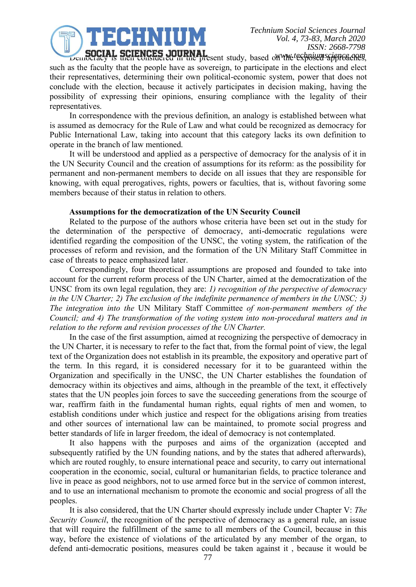ECHNIUM

**SUCIAL SCIENCES JOURNAL**<br>*we such a secured in the present study*, based on the text posed as approaches, such as the faculty that the people have as sovereign, to participate in the elections and elect their representatives, determining their own political-economic system, power that does not conclude with the election, because it actively participates in decision making, having the possibility of expressing their opinions, ensuring compliance with the legality of their representatives.

In correspondence with the previous definition, an analogy is established between what is assumed as democracy for the Rule of Law and what could be recognized as democracy for Public International Law, taking into account that this category lacks its own definition to operate in the branch of law mentioned.

It will be understood and applied as a perspective of democracy for the analysis of it in the UN Security Council and the creation of assumptions for its reform: as the possibility for permanent and non-permanent members to decide on all issues that they are responsible for knowing, with equal prerogatives, rights, powers or faculties, that is, without favoring some members because of their status in relation to others.

#### **Assumptions for the democratization of the UN Security Council**

Related to the purpose of the authors whose criteria have been set out in the study for the determination of the perspective of democracy, anti-democratic regulations were identified regarding the composition of the UNSC, the voting system, the ratification of the processes of reform and revision, and the formation of the UN Military Staff Committee in case of threats to peace emphasized later.

Correspondingly, four theoretical assumptions are proposed and founded to take into account for the current reform process of the UN Charter, aimed at the democratization of the UNSC from its own legal regulation, they are: *1) recognition of the perspective of democracy in the UN Charter; 2) The exclusion of the indefinite permanence of members in the UNSC; 3) The integration into the* UN Military Staff Committee *of non-permanent members of the Council; and 4) The transformation of the voting system into non-procedural matters and in relation to the reform and revision processes of the UN Charter.*

In the case of the first assumption, aimed at recognizing the perspective of democracy in the UN Charter, it is necessary to refer to the fact that, from the formal point of view, the legal text of the Organization does not establish in its preamble, the expository and operative part of the term. In this regard, it is considered necessary for it to be guaranteed within the Organization and specifically in the UNSC, the UN Charter establishes the foundation of democracy within its objectives and aims, although in the preamble of the text, it effectively states that the UN peoples join forces to save the succeeding generations from the scourge of war, reaffirm faith in the fundamental human rights, equal rights of men and women, to establish conditions under which justice and respect for the obligations arising from treaties and other sources of international law can be maintained, to promote social progress and better standards of life in larger freedom, the ideal of democracy is not contemplated.

It also happens with the purposes and aims of the organization (accepted and subsequently ratified by the UN founding nations, and by the states that adhered afterwards), which are routed roughly, to ensure international peace and security, to carry out international cooperation in the economic, social, cultural or humanitarian fields, to practice tolerance and live in peace as good neighbors, not to use armed force but in the service of common interest, and to use an international mechanism to promote the economic and social progress of all the peoples.

It is also considered, that the UN Charter should expressly include under Chapter V: *The Security Council*, the recognition of the perspective of democracy as a general rule, an issue that will require the fulfillment of the same to all members of the Council, because in this way, before the existence of violations of the articulated by any member of the organ, to defend anti-democratic positions, measures could be taken against it , because it would be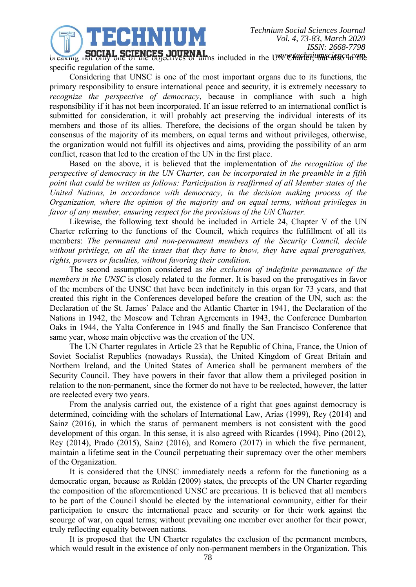**breaking not only one of the objectives of aims included in the UNV Charler, war carsed and the UNICHARTER.** specific regulation of the same.

TECHNIUM

Considering that UNSC is one of the most important organs due to its functions, the primary responsibility to ensure international peace and security, it is extremely necessary to *recognize the perspective of democracy*, because in compliance with such a high responsibility if it has not been incorporated. If an issue referred to an international conflict is submitted for consideration, it will probably act preserving the individual interests of its members and those of its allies. Therefore, the decisions of the organ should be taken by consensus of the majority of its members, on equal terms and without privileges, otherwise, the organization would not fulfill its objectives and aims, providing the possibility of an arm conflict, reason that led to the creation of the UN in the first place.

Based on the above, it is believed that the implementation of *the recognition of the perspective of democracy in the UN Charter, can be incorporated in the preamble in a fifth point that could be written as follows: Participation is reaffirmed of all Member states of the United Nations, in accordance with democracy, in the decision making process of the Organization, where the opinion of the majority and on equal terms, without privileges in favor of any member, ensuring respect for the provisions of the UN Charter.*

Likewise, the following text should be included in Article 24, Chapter V of the UN Charter referring to the functions of the Council, which requires the fulfillment of all its members: *The permanent and non-permanent members of the Security Council, decide without privilege, on all the issues that they have to know, they have equal prerogatives, rights, powers or faculties, without favoring their condition.*

The second assumption considered as *the exclusion of indefinite permanence of the members in the UNSC* is closely related to the former. It is based on the prerogatives in favor of the members of the UNSC that have been indefinitely in this organ for 73 years, and that created this right in the Conferences developed before the creation of the UN, such as: the Declaration of the St. James´ Palace and the Atlantic Charter in 1941, the Declaration of the Nations in 1942, the Moscow and Tehran Agreements in 1943, the Conference Dumbarton Oaks in 1944, the Yalta Conference in 1945 and finally the San Francisco Conference that same year, whose main objective was the creation of the UN.

The UN Charter regulates in Article 23 that he Republic of China, France, the Union of Soviet Socialist Republics (nowadays Russia), the United Kingdom of Great Britain and Northern Ireland, and the United States of America shall be permanent members of the Security Council. They have powers in their favor that allow them a privileged position in relation to the non-permanent, since the former do not have to be reelected, however, the latter are reelected every two years.

From the analysis carried out, the existence of a right that goes against democracy is determined, coinciding with the scholars of International Law, Arias (1999), Rey (2014) and Sainz (2016), in which the status of permanent members is not consistent with the good development of this organ. In this sense, it is also agreed with Ricardes (1994), Pino (2012), Rey (2014), Prado (2015), Sainz (2016), and Romero (2017) in which the five permanent, maintain a lifetime seat in the Council perpetuating their supremacy over the other members of the Organization.

It is considered that the UNSC immediately needs a reform for the functioning as a democratic organ, because as Roldán (2009) states, the precepts of the UN Charter regarding the composition of the aforementioned UNSC are precarious. It is believed that all members to be part of the Council should be elected by the international community, either for their participation to ensure the international peace and security or for their work against the scourge of war, on equal terms; without prevailing one member over another for their power, truly reflecting equality between nations.

It is proposed that the UN Charter regulates the exclusion of the permanent members, which would result in the existence of only non-permanent members in the Organization. This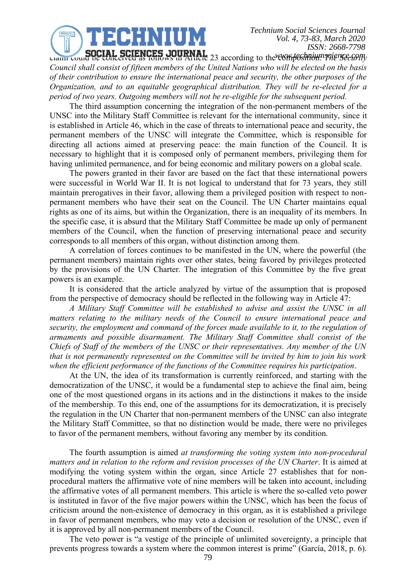

claim could be conceived as follows in Article 23 according to the composition: *The Security www.techniumscience.comCouncil shall consist of fifteen members of the United Nations who will be elected on the basis of their contribution to ensure the international peace and security, the other purposes of the Organization, and to an equitable geographical distribution. They will be re-elected for a period of two years. Outgoing members will not be re-eligible for the subsequent period.*

The third assumption concerning the integration of the non-permanent members of the UNSC into the Military Staff Committee is relevant for the international community, since it is established in Article 46, which in the case of threats to international peace and security, the permanent members of the UNSC will integrate the Committee, which is responsible for directing all actions aimed at preserving peace: the main function of the Council. It is necessary to highlight that it is composed only of permanent members, privileging them for having unlimited permanence, and for being economic and military powers on a global scale.

The powers granted in their favor are based on the fact that these international powers were successful in World War II. It is not logical to understand that for 73 years, they still maintain prerogatives in their favor, allowing them a privileged position with respect to nonpermanent members who have their seat on the Council. The UN Charter maintains equal rights as one of its aims, but within the Organization, there is an inequality of its members. In the specific case, it is absurd that the Military Staff Committee be made up only of permanent members of the Council, when the function of preserving international peace and security corresponds to all members of this organ, without distinction among them.

A correlation of forces continues to be manifested in the UN, where the powerful (the permanent members) maintain rights over other states, being favored by privileges protected by the provisions of the UN Charter. The integration of this Committee by the five great powers is an example.

It is considered that the article analyzed by virtue of the assumption that is proposed from the perspective of democracy should be reflected in the following way in Article 47:

*A Military Staff Committee will be established to advise and assist the UNSC in all matters relating to the military needs of the Council to ensure international peace and security, the employment and command of the forces made available to it, to the regulation of armaments and possible disarmament. The Military Staff Committee shall consist of the Chiefs of Staff of the members of the UNSC or their representatives. Any member of the UN that is not permanently represented on the Committee will be invited by him to join his work when the efficient performance of the functions of the Committee requires his participation*.

At the UN, the idea of its transformation is currently reinforced, and starting with the democratization of the UNSC, it would be a fundamental step to achieve the final aim, being one of the most questioned organs in its actions and in the distinctions it makes to the inside of the membership. To this end, one of the assumptions for its democratization, it is precisely the regulation in the UN Charter that non-permanent members of the UNSC can also integrate the Military Staff Committee, so that no distinction would be made, there were no privileges to favor of the permanent members, without favoring any member by its condition.

The fourth assumption is aimed *at transforming the voting system into non-procedural matters and in relation to the reform and revision processes of the UN Charter*. It is aimed at modifying the voting system within the organ, since Article 27 establishes that for nonprocedural matters the affirmative vote of nine members will be taken into account, including the affirmative votes of all permanent members. This article is where the so-called veto power is instituted in favor of the five major powers within the UNSC, which has been the focus of criticism around the non-existence of democracy in this organ, as it is established a privilege in favor of permanent members, who may veto a decision or resolution of the UNSC, even if it is approved by all non-permanent members of the Council.

The veto power is "a vestige of the principle of unlimited sovereignty, a principle that prevents progress towards a system where the common interest is prime" (García, 2018, p. 6).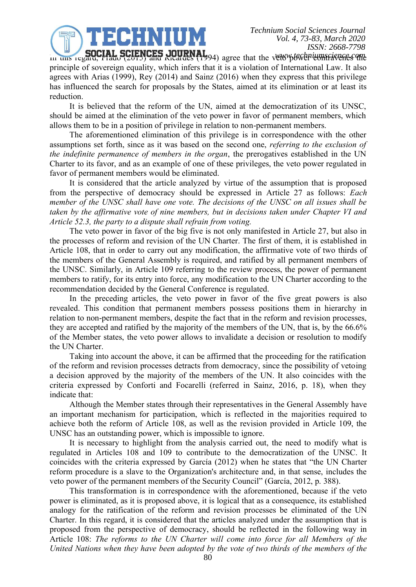In this regard, Prado (2015) and Ricardes (1994) agree that the veto possessive and regard, Prado (2015) and Ricardes (1994) agree that the veto power complete the contract of the contract of the vertex of the contract of principle of sovereign equality, which infers that it is a violation of International Law. It also agrees with Arias (1999), Rey (2014) and Sainz (2016) when they express that this privilege has influenced the search for proposals by the States, aimed at its elimination or at least its reduction.

JECHNIUM

It is believed that the reform of the UN, aimed at the democratization of its UNSC, should be aimed at the elimination of the veto power in favor of permanent members, which allows them to be in a position of privilege in relation to non-permanent members.

The aforementioned elimination of this privilege is in correspondence with the other assumptions set forth, since as it was based on the second one, *referring to the exclusion of the indefinite permanence of members in the organ*, the prerogatives established in the UN Charter to its favor, and as an example of one of these privileges, the veto power regulated in favor of permanent members would be eliminated.

It is considered that the article analyzed by virtue of the assumption that is proposed from the perspective of democracy should be expressed in Article 27 as follows: *Each member of the UNSC shall have one vote. The decisions of the UNSC on all issues shall be taken by the affirmative vote of nine members, but in decisions taken under Chapter VI and Article 52.3, the party to a dispute shall refrain from voting.*

The veto power in favor of the big five is not only manifested in Article 27, but also in the processes of reform and revision of the UN Charter. The first of them, it is established in Article 108, that in order to carry out any modification, the affirmative vote of two thirds of the members of the General Assembly is required, and ratified by all permanent members of the UNSC. Similarly, in Article 109 referring to the review process, the power of permanent members to ratify, for its entry into force, any modification to the UN Charter according to the recommendation decided by the General Conference is regulated.

In the preceding articles, the veto power in favor of the five great powers is also revealed. This condition that permanent members possess positions them in hierarchy in relation to non-permanent members, despite the fact that in the reform and revision processes, they are accepted and ratified by the majority of the members of the UN, that is, by the 66.6% of the Member states, the veto power allows to invalidate a decision or resolution to modify the UN Charter.

Taking into account the above, it can be affirmed that the proceeding for the ratification of the reform and revision processes detracts from democracy, since the possibility of vetoing a decision approved by the majority of the members of the UN. It also coincides with the criteria expressed by Conforti and Focarelli (referred in Sainz, 2016, p. 18), when they indicate that:

Although the Member states through their representatives in the General Assembly have an important mechanism for participation, which is reflected in the majorities required to achieve both the reform of Article 108, as well as the revision provided in Article 109, the UNSC has an outstanding power, which is impossible to ignore.

It is necessary to highlight from the analysis carried out, the need to modify what is regulated in Articles 108 and 109 to contribute to the democratization of the UNSC. It coincides with the criteria expressed by García (2012) when he states that "the UN Charter reform procedure is a slave to the Organization's architecture and, in that sense, includes the veto power of the permanent members of the Security Council" (García, 2012, p. 388).

This transformation is in correspondence with the aforementioned, because if the veto power is eliminated, as it is proposed above, it is logical that as a consequence, its established analogy for the ratification of the reform and revision processes be eliminated of the UN Charter. In this regard, it is considered that the articles analyzed under the assumption that is proposed from the perspective of democracy, should be reflected in the following way in Article 108: *The reforms to the UN Charter will come into force for all Members of the United Nations when they have been adopted by the vote of two thirds of the members of the*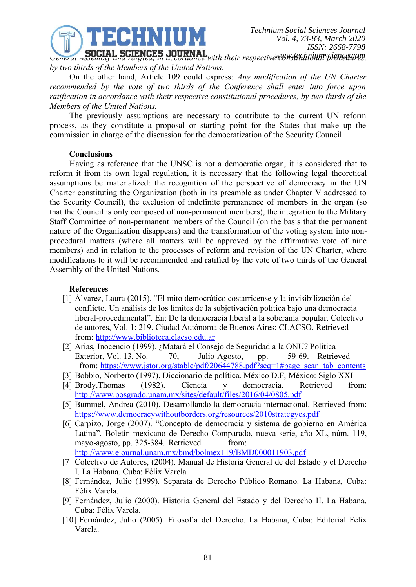

GENERAL SCIENCES JOURNAL with their respective Constitutional proceedures, *by two thirds of the Members of the United Nations.*

On the other hand, Article 109 could express: *Any modification of the UN Charter recommended by the vote of two thirds of the Conference shall enter into force upon ratification in accordance with their respective constitutional procedures, by two thirds of the Members of the United Nations.*

The previously assumptions are necessary to contribute to the current UN reform process, as they constitute a proposal or starting point for the States that make up the commission in charge of the discussion for the democratization of the Security Council.

## **Conclusions**

Having as reference that the UNSC is not a democratic organ, it is considered that to reform it from its own legal regulation, it is necessary that the following legal theoretical assumptions be materialized: the recognition of the perspective of democracy in the UN Charter constituting the Organization (both in its preamble as under Chapter V addressed to the Security Council), the exclusion of indefinite permanence of members in the organ (so that the Council is only composed of non-permanent members), the integration to the Military Staff Committee of non-permanent members of the Council (on the basis that the permanent nature of the Organization disappears) and the transformation of the voting system into nonprocedural matters (where all matters will be approved by the affirmative vote of nine members) and in relation to the processes of reform and revision of the UN Charter, where modifications to it will be recommended and ratified by the vote of two thirds of the General Assembly of the United Nations.

## **References**

- [1] Álvarez, Laura (2015). "El mito democrático costarricense y la invisibilización del conflicto. Un análisis de los límites de la subjetivación política bajo una democracia liberal-procedimental". En: De la democracia liberal a la soberanía popular. Colectivo de autores, Vol. 1: 219. Ciudad Autónoma de Buenos Aires: CLACSO. Retrieved from: [http://www.biblioteca.clacso.edu.ar](http://www.biblioteca.clacso.edu.ar/)
- [2] Arias, Inocencio (1999). ¿Matará el Consejo de Seguridad a la ONU? Política Exterior, Vol. 13, No. 70, Julio-Agosto, pp. 59-69. Retrieved from: [https://www.jstor.org/stable/pdf/20644788.pdf?seq=1#page\\_scan\\_tab\\_contents](https://www.jstor.org/stable/pdf/20644788.pdf?seq=1#page_scan_tab_contents)
- [3] Bobbio, Norberto (1997), Diccionario de política. México D.F, México: Siglo XXI
- [4] Brody,Thomas (1982). Ciencia y democracia. Retrieved from: <http://www.posgrado.unam.mx/sites/default/files/2016/04/0805.pdf>
- [5] Bummel, Andrea (2010). Desarrollando la democracia internacional. Retrieved from: <https://www.democracywithoutborders.org/resources/2010strategyes.pdf>
- [6] Carpizo, Jorge (2007). "Concepto de democracia y sistema de gobierno en América Latina". Boletín mexicano de Derecho Comparado, nueva serie, año XL, núm. 119, mayo-agosto, pp. 325-384. Retrieved from:
	- <http://www.ejournal.unam.mx/bmd/bolmex119/BMD000011903.pdf>
- [7] Colectivo de Autores, (2004). Manual de Historia General de del Estado y el Derecho I. La Habana, Cuba: Félix Varela.
- [8] Fernández, Julio (1999). Separata de Derecho Público Romano. La Habana, Cuba: Félix Varela.
- [9] Fernández, Julio (2000). Historia General del Estado y del Derecho II. La Habana, Cuba: Félix Varela.
- [10] Fernández, Julio (2005). Filosofía del Derecho. La Habana, Cuba: Editorial Félix Varela.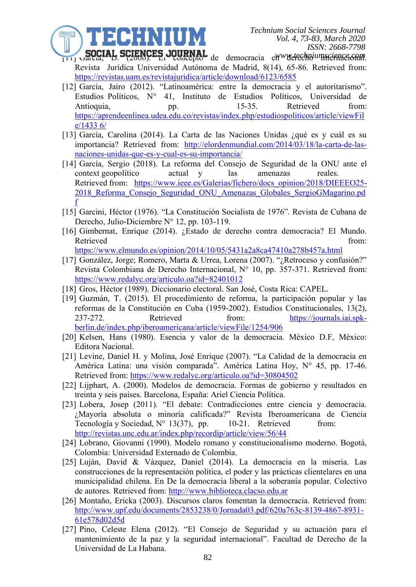**SUCIAL SCIENCES JUURNAL** de democracia en Weltechniumscience.comm. Revista Jurídica Universidad Autónoma de Madrid, 8(14), 65-86. Retrieved from: <https://revistas.uam.es/revistajuridica/article/download/6123/6585>

EEHRITIM

- [12] García, Jairo (2012). "Latinoamérica: entre la democracia y el autoritarismo". Estudios Políticos, N° 41, Instituto de Estudios Políticos, Universidad de Antioquia, pp. 15-35. Retrieved from: [https://aprendeenlinea.udea.edu.co/revistas/index.php/estudiospoliticos/article/viewFil](https://aprendeenlinea.udea.edu.co/revistas/index.php/estudiospoliticos/article/viewFile/1433%206/) [e/1433 6/](https://aprendeenlinea.udea.edu.co/revistas/index.php/estudiospoliticos/article/viewFile/1433%206/)
- [13] García, Carolina (2014). La Carta de las Naciones Unidas ¿qué es y cuál es su importancia? Retrieved from: [http://elordenmundial.com/2014/03/18/la-carta-de-las](http://elordenmundial.com/2014/03/18/la-carta-de-las-naciones-unidas-que-es-y-cual-es-su-importancia/)[naciones-unidas-que-es-y-cual-es-su-importancia/](http://elordenmundial.com/2014/03/18/la-carta-de-las-naciones-unidas-que-es-y-cual-es-su-importancia/)
- [14] García, Sergio (2018). La reforma del Consejo de Seguridad de la ONU ante el context geopolítico actual y las amenazas reales. Retrieved from: [https://www.ieee.es/Galerias/fichero/docs\\_opinion/2018/DIEEEO25-](https://www.ieee.es/Galerias/fichero/docs_opinion/2018/DIEEEO25-2018_Reforma_Consejo_Seguridad_ONU_Amenazas_Globales_SergioGMagarino.pdf) 2018 Reforma Consejo Seguridad ONU Amenazas Globales SergioGMagarino.pd [f](https://www.ieee.es/Galerias/fichero/docs_opinion/2018/DIEEEO25-2018_Reforma_Consejo_Seguridad_ONU_Amenazas_Globales_SergioGMagarino.pdf)
- [15] Garcini, Héctor (1976). "La Constitución Socialista de 1976". Revista de Cubana de Derecho, Julio-Diciembre N° 12, pp. 103-119.
- [16] Gimbernat, Enrique (2014). ¿Estado de derecho contra democracia? El Mundo. Retrieved from:

<https://www.elmundo.es/opinion/2014/10/05/5431a2a8ca47410a278b457a.html>

- [17] González, Jorge; Romero, Marta & Urrea, Lorena (2007). "¿Retroceso y confusión?" Revista Colombiana de Derecho Internacional, N° 10, pp. 357-371. Retrieved from: <https://www.redalyc.org/articulo.oa?id=82401012>
- [18] Gros, Héctor (1989). Diccionario electoral. San José, Costa Rica: CAPEL.
- [19] Guzmán, T. (2015). El procedimiento de reforma, la participación popular y las reformas de la Constitución en Cuba (1959-2002). Estudios Constitucionales, 13(2), 237-272. Retrieved from: [https://journals.iai.spk](https://journals.iai.spk-berlin.de/index.php/iberoamericana/article/viewFile/1254/906)[berlin.de/index.php/iberoamericana/article/viewFile/1254/906](https://journals.iai.spk-berlin.de/index.php/iberoamericana/article/viewFile/1254/906)
- [20] Kelsen, Hans (1980). Esencia y valor de la democracia. México D.F, México: Editora Nacional.
- [21] Levine, Daniel H. y Molina, José Enrique (2007). "La Calidad de la democracia en América Latina: una visión comparada". América Latina Hoy, N° 45, pp. 17-46. Retrieved from:<https://www.redalyc.org/articulo.oa?id=30804502>
- [22] Lijphart, A. (2000). Modelos de democracia. Formas de gobierno y resultados en treinta y seis países. Barcelona, España: Ariel Ciencia Política.
- [23] Lobera, Josep (2011). "El debate: Contradicciones entre ciencia y democracia. ¿Mayoría absoluta o minoría calificada?" Revista Iberoamericana de Ciencia Tecnología y Sociedad,  $N^{\circ}$  13(37), pp. 10-21. Retrieved from: <http://revistas.unc.edu.ar/index.php/recordip/article/view/56/44>
- [24] Lobrano, Giovanni (1990). Modelo romano y constitucionalismo moderno. Bogotá, Colombia: Universidad Externado de Colombia.
- [25] Luján, David & Vázquez, Daniel (2014). La democracia en la miseria. Las construcciones de la representación política, el poder y las prácticas clientelares en una municipalidad chilena. En De la democracia liberal a la soberanía popular. Colectivo de autores. Retrieved from: [http://www.biblioteca.clacso.edu.ar](http://www.biblioteca.clacso.edu.ar/)
- [26] Montaño, Ericka (2003). Discursos claros fomentan la democracia. Retrieved from: [http://www.upf.edu/documents/2853238/0/Jornada03.pdf/620a763c-8139-4867-8931-](http://www.upf.edu/documents/2853238/0/Jornada03.pdf/620a763c-8139-4867-8931-61e578d02d5d) [61e578d02d5d](http://www.upf.edu/documents/2853238/0/Jornada03.pdf/620a763c-8139-4867-8931-61e578d02d5d)
- [27] Pino, Celeste Elena (2012). "El Consejo de Seguridad y su actuación para el mantenimiento de la paz y la seguridad internacional". Facultad de Derecho de la Universidad de La Habana.